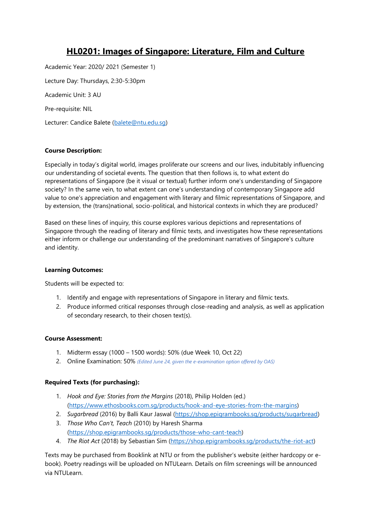# **HL0201: Images of Singapore: Literature, Film and Culture**

Academic Year: 2020/ 2021 (Semester 1) Lecture Day: Thursdays, 2:30-5:30pm Academic Unit: 3 AU Pre-requisite: NIL Lecturer: Candice Balete [\(balete@ntu.edu.sg\)](mailto:balete@ntu.edu.sg)

# **Course Description:**

Especially in today's digital world, images proliferate our screens and our lives, indubitably influencing our understanding of societal events. The question that then follows is, to what extent do representations of Singapore (be it visual or textual) further inform one's understanding of Singapore society? In the same vein, to what extent can one's understanding of contemporary Singapore add value to one's appreciation and engagement with literary and filmic representations of Singapore, and by extension, the (trans)national, socio-political, and historical contexts in which they are produced?

Based on these lines of inquiry, this course explores various depictions and representations of Singapore through the reading of literary and filmic texts, and investigates how these representations either inform or challenge our understanding of the predominant narratives of Singapore's culture and identity.

#### **Learning Outcomes:**

Students will be expected to:

- 1. Identify and engage with representations of Singapore in literary and filmic texts.
- 2. Produce informed critical responses through close-reading and analysis, as well as application of secondary research, to their chosen text(s).

### **Course Assessment:**

- 1. Midterm essay (1000 1500 words): 50% (due Week 10, Oct 22)
- 2. Online Examination: 50% *(Edited June 24, given the e-examination option offered by OAS)*

# **Required Texts (for purchasing):**

- 1. *Hook and Eye: Stories from the Margins* (2018), Philip Holden (ed.) [\(https://www.ethosbooks.com.sg/products/hook-and-eye-stories-from-the-margins\)](https://www.ethosbooks.com.sg/products/hook-and-eye-stories-from-the-margins)
- 2. *Sugarbread* (2016) by Balli Kaur Jaswal [\(https://shop.epigrambooks.sg/products/sugarbread\)](https://shop.epigrambooks.sg/products/sugarbread)
- 3. *Those Who Can't, Teach* (2010) by Haresh Sharma [\(https://shop.epigrambooks.sg/products/those-who-cant-teach\)](https://shop.epigrambooks.sg/products/those-who-cant-teach)
- 4. *The Riot Act* (2018) by Sebastian Sim [\(https://shop.epigrambooks.sg/products/the-riot-act\)](https://shop.epigrambooks.sg/products/the-riot-act)

Texts may be purchased from Booklink at NTU or from the publisher's website (either hardcopy or ebook). Poetry readings will be uploaded on NTULearn. Details on film screenings will be announced via NTULearn.